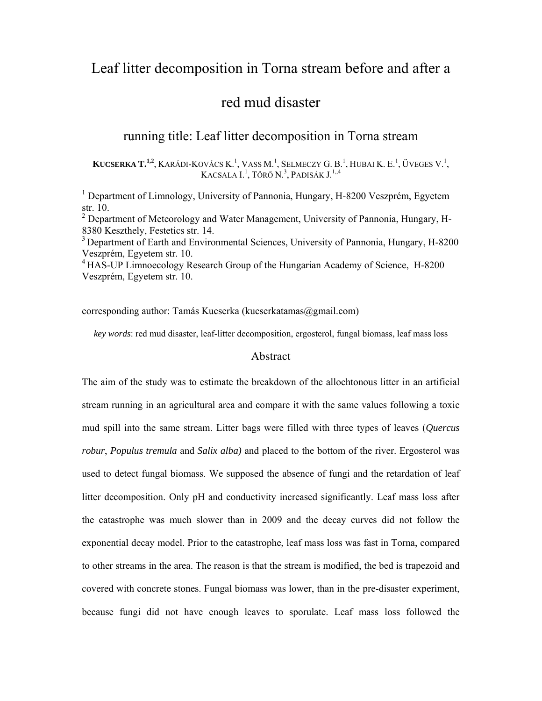# Leaf litter decomposition in Torna stream before and after a

# red mud disaster

## running title: Leaf litter decomposition in Torna stream

**KUCSERKA T.<sup>1,2</sup>**, KARÁDI-KOVÁCS K.<sup>1</sup>, VASS M.<sup>1</sup>, SELMECZY G. B.<sup>1</sup>, HUBAI K. E.<sup>1</sup>, ÜVEGES V.<sup>1</sup>, KACSALA I.<sup>1</sup>, Törő N.<sup>3</sup>, Padisák J.<sup>1,,4</sup>

<sup>1</sup> Department of Limnology, University of Pannonia, Hungary, H-8200 Veszprém, Egyetem str. 10.

<sup>2</sup> Department of Meteorology and Water Management, University of Pannonia, Hungary, H-8380 Keszthely, Festetics str. 14.

<sup>3</sup> Department of Earth and Environmental Sciences, University of Pannonia, Hungary, H-8200 Veszprém, Egyetem str. 10.

<sup>4</sup> HAS-UP Limnoecology Research Group of the Hungarian Academy of Science, H-8200 Veszprém, Egyetem str. 10.

corresponding author: Tamás Kucserka (kucserkatamas@gmail.com)

*key words*: red mud disaster, leaf-litter decomposition, ergosterol, fungal biomass, leaf mass loss

## Abstract

The aim of the study was to estimate the breakdown of the allochtonous litter in an artificial stream running in an agricultural area and compare it with the same values following a toxic mud spill into the same stream. Litter bags were filled with three types of leaves (*Quercus robur*, *Populus tremula* and *Salix alba)* and placed to the bottom of the river. Ergosterol was used to detect fungal biomass. We supposed the absence of fungi and the retardation of leaf litter decomposition. Only pH and conductivity increased significantly. Leaf mass loss after the catastrophe was much slower than in 2009 and the decay curves did not follow the exponential decay model. Prior to the catastrophe, leaf mass loss was fast in Torna, compared to other streams in the area. The reason is that the stream is modified, the bed is trapezoid and covered with concrete stones. Fungal biomass was lower, than in the pre-disaster experiment, because fungi did not have enough leaves to sporulate. Leaf mass loss followed the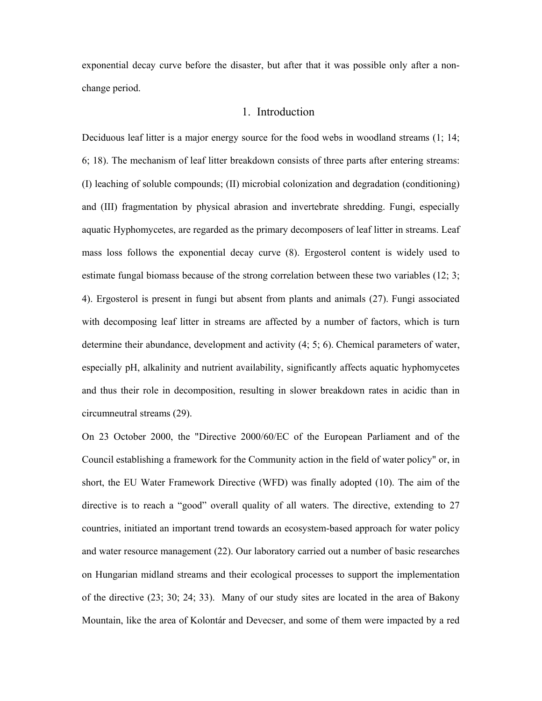exponential decay curve before the disaster, but after that it was possible only after a nonchange period.

## 1. Introduction

Deciduous leaf litter is a major energy source for the food webs in woodland streams (1; 14; 6; 18). The mechanism of leaf litter breakdown consists of three parts after entering streams: (I) leaching of soluble compounds; (II) microbial colonization and degradation (conditioning) and (III) fragmentation by physical abrasion and invertebrate shredding. Fungi, especially aquatic Hyphomycetes, are regarded as the primary decomposers of leaf litter in streams. Leaf mass loss follows the exponential decay curve (8). Ergosterol content is widely used to estimate fungal biomass because of the strong correlation between these two variables (12; 3; 4). Ergosterol is present in fungi but absent from plants and animals (27). Fungi associated with decomposing leaf litter in streams are affected by a number of factors, which is turn determine their abundance, development and activity (4; 5; 6). Chemical parameters of water, especially pH, alkalinity and nutrient availability, significantly affects aquatic hyphomycetes and thus their role in decomposition, resulting in slower breakdown rates in acidic than in circumneutral streams (29).

On 23 October 2000, the "Directive 2000/60/EC of the European Parliament and of the Council establishing a framework for the Community action in the field of water policy" or, in short, the EU Water Framework Directive (WFD) was finally adopted (10). The aim of the directive is to reach a "good" overall quality of all waters. The directive, extending to 27 countries, initiated an important trend towards an ecosystem-based approach for water policy and water resource management (22). Our laboratory carried out a number of basic researches on Hungarian midland streams and their ecological processes to support the implementation of the directive (23; 30; 24; 33). Many of our study sites are located in the area of Bakony Mountain, like the area of Kolontár and Devecser, and some of them were impacted by a red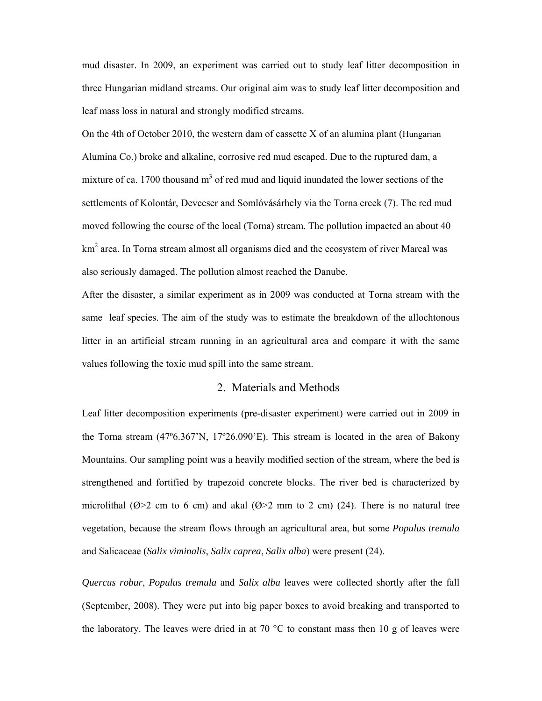mud disaster. In 2009, an experiment was carried out to study leaf litter decomposition in three Hungarian midland streams. Our original aim was to study leaf litter decomposition and leaf mass loss in natural and strongly modified streams.

On the 4th of October 2010, the western dam of cassette X of an alumina plant (Hungarian Alumina Co.) broke and alkaline, corrosive red mud escaped. Due to the ruptured dam, a mixture of ca. 1700 thousand  $m<sup>3</sup>$  of red mud and liquid inundated the lower sections of the settlements of Kolontár, Devecser and Somlóvásárhely via the Torna creek (7). The red mud moved following the course of the local (Torna) stream. The pollution impacted an about 40  $km<sup>2</sup>$  area. In Torna stream almost all organisms died and the ecosystem of river Marcal was also seriously damaged. The pollution almost reached the Danube.

After the disaster, a similar experiment as in 2009 was conducted at Torna stream with the same leaf species. The aim of the study was to estimate the breakdown of the allochtonous litter in an artificial stream running in an agricultural area and compare it with the same values following the toxic mud spill into the same stream.

#### 2. Materials and Methods

Leaf litter decomposition experiments (pre-disaster experiment) were carried out in 2009 in the Torna stream (47º6.367'N, 17º26.090'E). This stream is located in the area of Bakony Mountains. Our sampling point was a heavily modified section of the stream, where the bed is strengthened and fortified by trapezoid concrete blocks. The river bed is characterized by microlithal ( $\emptyset$ >2 cm to 6 cm) and akal ( $\emptyset$ >2 mm to 2 cm) (24). There is no natural tree vegetation, because the stream flows through an agricultural area, but some *Populus tremula* and Salicaceae (*Salix viminalis*, *Salix caprea*, *Salix alba*) were present (24).

*Quercus robur*, *Populus tremula* and *Salix alba* leaves were collected shortly after the fall (September, 2008). They were put into big paper boxes to avoid breaking and transported to the laboratory. The leaves were dried in at 70  $\degree$ C to constant mass then 10 g of leaves were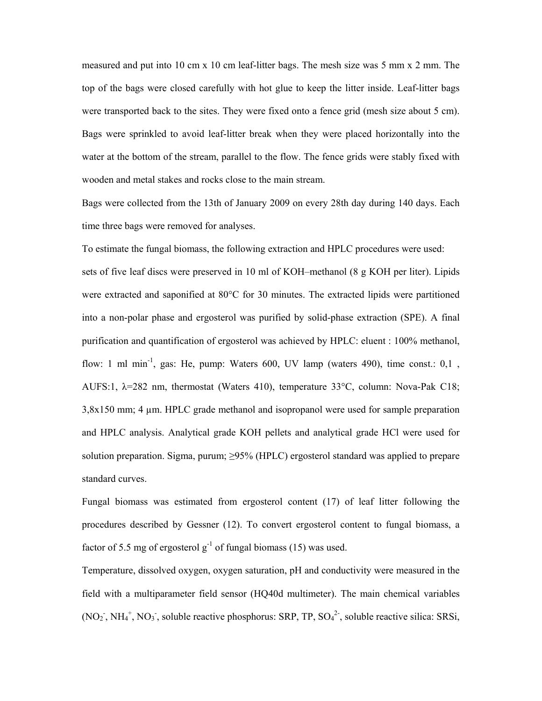measured and put into 10 cm x 10 cm leaf-litter bags. The mesh size was 5 mm x 2 mm. The top of the bags were closed carefully with hot glue to keep the litter inside. Leaf-litter bags were transported back to the sites. They were fixed onto a fence grid (mesh size about 5 cm). Bags were sprinkled to avoid leaf-litter break when they were placed horizontally into the water at the bottom of the stream, parallel to the flow. The fence grids were stably fixed with wooden and metal stakes and rocks close to the main stream.

Bags were collected from the 13th of January 2009 on every 28th day during 140 days. Each time three bags were removed for analyses.

To estimate the fungal biomass, the following extraction and HPLC procedures were used: sets of five leaf discs were preserved in 10 ml of KOH–methanol (8 g KOH per liter). Lipids were extracted and saponified at 80°C for 30 minutes. The extracted lipids were partitioned into a non-polar phase and ergosterol was purified by solid-phase extraction (SPE). A final purification and quantification of ergosterol was achieved by HPLC: eluent : 100% methanol, flow: 1 ml min<sup>-1</sup>, gas: He, pump: Waters 600, UV lamp (waters 490), time const.:  $0.1$ , AUFS:1, λ=282 nm, thermostat (Waters 410), temperature 33°C, column: Nova-Pak C18; 3,8x150 mm; 4 µm. HPLC grade methanol and isopropanol were used for sample preparation and HPLC analysis. Analytical grade KOH pellets and analytical grade HCl were used for solution preparation. Sigma, purum; ≥95% (HPLC) ergosterol standard was applied to prepare standard curves.

Fungal biomass was estimated from ergosterol content (17) of leaf litter following the procedures described by Gessner (12). To convert ergosterol content to fungal biomass, a factor of 5.5 mg of ergosterol  $g^{-1}$  of fungal biomass (15) was used.

Temperature, dissolved oxygen, oxygen saturation, pH and conductivity were measured in the field with a multiparameter field sensor (HQ40d multimeter). The main chemical variables  $(NO<sub>2</sub>^{\text{-}}, NH<sub>4</sub><sup>+</sup>, NO<sub>3</sub><sup>-\text{-}},</sup>$  soluble reactive phosphorus: SRP, TP, SO<sub>4</sub><sup>2</sup><sup>-</sup>, soluble reactive silica: SRSi,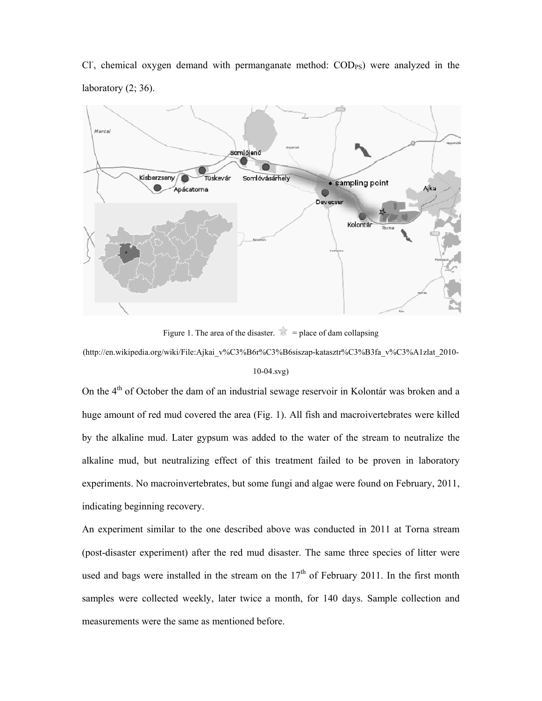Cl<sup>-</sup>, chemical oxygen demand with permanganate method: COD<sub>PS</sub>) were analyzed in the laboratory  $(2; 36)$ .



Figure 1. The area of the disaster.  $\leq$  = place of dam collapsing

(http://en.wikipedia.org/wiki/File:Ajkai\_v%C3%B6r%C3%B6siszap-katasztr%C3%B3fa\_v%C3%A1zlat\_2010- 10-04.svg)

On the 4<sup>th</sup> of October the dam of an industrial sewage reservoir in Kolontár was broken and a huge amount of red mud covered the area (Fig. 1). All fish and macroivertebrates were killed by the alkaline mud. Later gypsum was added to the water of the stream to neutralize the alkaline mud, but neutralizing effect of this treatment failed to be proven in laboratory experiments. No macroinvertebrates, but some fungi and algae were found on February, 2011, indicating beginning recovery.

An experiment similar to the one described above was conducted in 2011 at Torna stream (post-disaster experiment) after the red mud disaster. The same three species of litter were used and bags were installed in the stream on the  $17<sup>th</sup>$  of February 2011. In the first month samples were collected weekly, later twice a month, for 140 days. Sample collection and measurements were the same as mentioned before.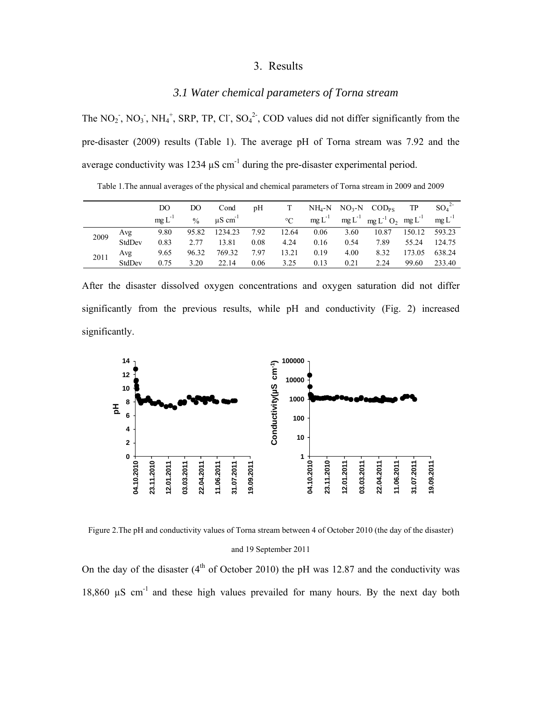### 3. Results

#### *3.1 Water chemical parameters of Torna stream*

The NO<sub>2</sub>, NO<sub>3</sub>, NH<sub>4</sub><sup>+</sup>, SRP, TP, Cl<sup>-</sup>, SO<sub>4</sub><sup>2</sup>, COD values did not differ significantly from the pre-disaster (2009) results (Table 1). The average pH of Torna stream was 7.92 and the average conductivity was  $1234 \mu S$  cm<sup>-1</sup> during the pre-disaster experimental period.

Table 1.The annual averages of the physical and chemical parameters of Torna stream in 2009 and 2009

|      |        | DO         | DO          | Cond                     | pН   |             |      |      | $NH_4-N$ $NO_3-N$ $COD_{PS}$                        | TP     | $SO_4^2$   |
|------|--------|------------|-------------|--------------------------|------|-------------|------|------|-----------------------------------------------------|--------|------------|
|      |        | $meL^{-1}$ | $^{0}/_{0}$ | $\mu$ S cm <sup>-1</sup> |      | $^{\circ}C$ |      |      | $mg L^{-1}$ mg $L^{-1}$ mg $L^{-1} O_2$ mg $L^{-1}$ |        | $mgL^{-1}$ |
| 2009 | Avg    | 9.80       | 95.82       | 1234.23                  | 7.92 | 12.64       | 0.06 | 3.60 | 10.87                                               | 150.12 | 593.23     |
|      | StdDev | 0.83       | 2.77        | 13.81                    | 0.08 | 4.24        | 0.16 | 0.54 | 7.89                                                | 55.24  | 124.75     |
| 2011 | Avg    | 9.65       | 96.32       | 769.32                   | 7.97 | 13.21       | 0.19 | 4.00 | 8.32                                                | 173.05 | 638.24     |
|      | StdDev | 0.75       | 3.20        | 22.14                    | 0.06 | 3.25        | 0.13 | 0.21 | 2.24                                                | 99.60  | 233.40     |

After the disaster dissolved oxygen concentrations and oxygen saturation did not differ significantly from the previous results, while pH and conductivity (Fig. 2) increased significantly.



Figure 2.The pH and conductivity values of Torna stream between 4 of October 2010 (the day of the disaster) and 19 September 2011

On the day of the disaster  $(4<sup>th</sup>$  of October 2010) the pH was 12.87 and the conductivity was 18,860 µS cm-1 and these high values prevailed for many hours. By the next day both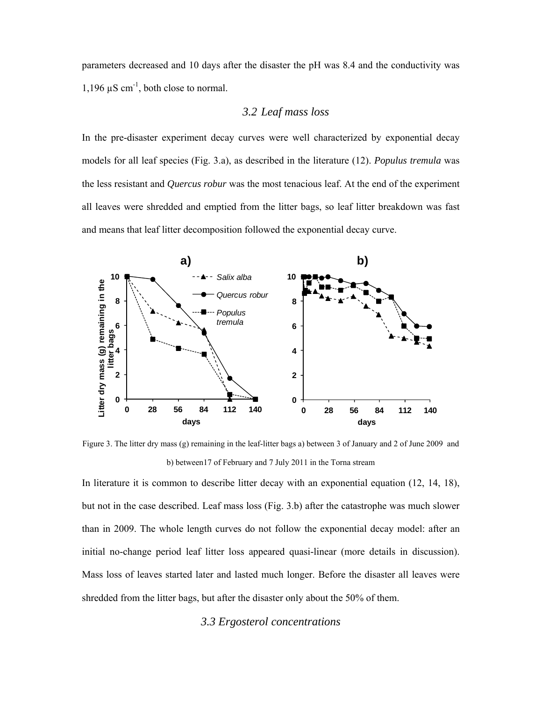parameters decreased and 10 days after the disaster the pH was 8.4 and the conductivity was 1,196  $\mu$ S cm<sup>-1</sup>, both close to normal.

## *3.2 Leaf mass loss*

In the pre-disaster experiment decay curves were well characterized by exponential decay models for all leaf species (Fig. 3.a), as described in the literature (12). *Populus tremula* was the less resistant and *Quercus robur* was the most tenacious leaf. At the end of the experiment all leaves were shredded and emptied from the litter bags, so leaf litter breakdown was fast and means that leaf litter decomposition followed the exponential decay curve.



Figure 3. The litter dry mass (g) remaining in the leaf-litter bags a) between 3 of January and 2 of June 2009 and b) between17 of February and 7 July 2011 in the Torna stream

In literature it is common to describe litter decay with an exponential equation (12, 14, 18), but not in the case described. Leaf mass loss (Fig. 3.b) after the catastrophe was much slower than in 2009. The whole length curves do not follow the exponential decay model: after an initial no-change period leaf litter loss appeared quasi-linear (more details in discussion). Mass loss of leaves started later and lasted much longer. Before the disaster all leaves were shredded from the litter bags, but after the disaster only about the 50% of them.

## *3.3 Ergosterol concentrations*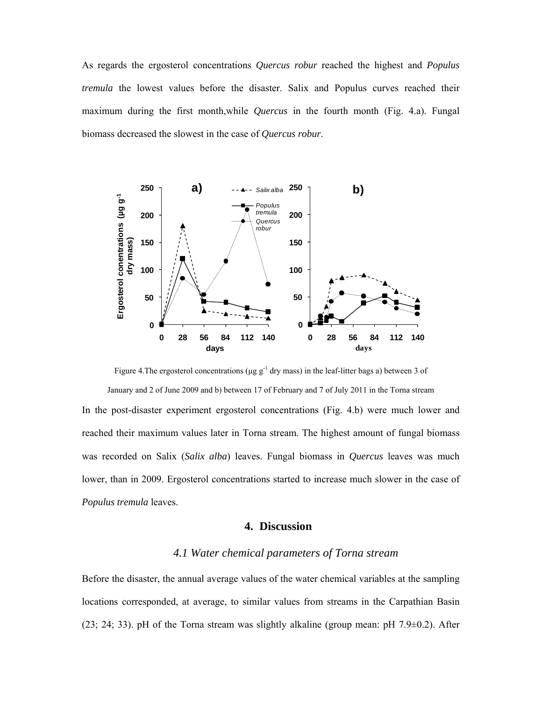As regards the ergosterol concentrations *Quercus robur* reached the highest and *Populus tremula* the lowest values before the disaster. Salix and Populus curves reached their maximum during the first month,while *Quercus* in the fourth month (Fig. 4.a). Fungal biomass decreased the slowest in the case of *Quercus robur*.



Figure 4. The ergosterol concentrations ( $\mu$ g g<sup>-1</sup> dry mass) in the leaf-litter bags a) between 3 of January and 2 of June 2009 and b) between 17 of February and 7 of July 2011 in the Torna stream

In the post-disaster experiment ergosterol concentrations (Fig. 4.b) were much lower and reached their maximum values later in Torna stream. The highest amount of fungal biomass was recorded on Salix (*Salix alba*) leaves. Fungal biomass in *Quercus* leaves was much lower, than in 2009. Ergosterol concentrations started to increase much slower in the case of *Populus tremula* leaves.

#### **4. Discussion**

## *4.1 Water chemical parameters of Torna stream*

Before the disaster, the annual average values of the water chemical variables at the sampling locations corresponded, at average, to similar values from streams in the Carpathian Basin  $(23; 24; 33)$ . pH of the Torna stream was slightly alkaline (group mean: pH 7.9 $\pm$ 0.2). After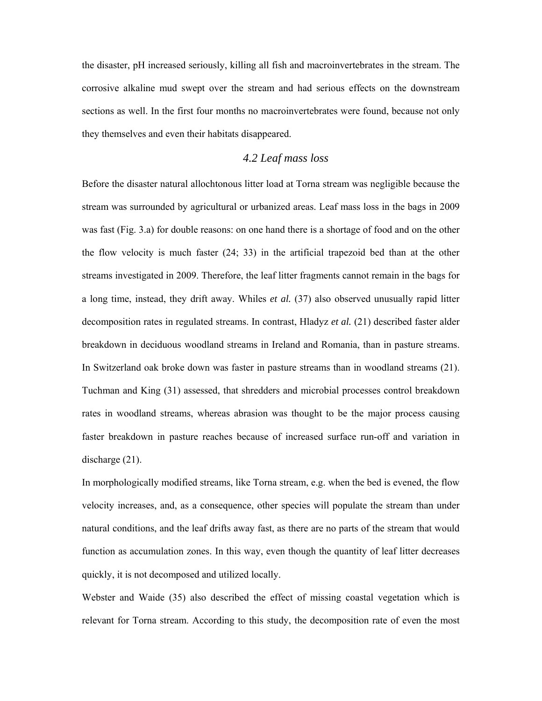the disaster, pH increased seriously, killing all fish and macroinvertebrates in the stream. The corrosive alkaline mud swept over the stream and had serious effects on the downstream sections as well. In the first four months no macroinvertebrates were found, because not only they themselves and even their habitats disappeared.

## *4.2 Leaf mass loss*

Before the disaster natural allochtonous litter load at Torna stream was negligible because the stream was surrounded by agricultural or urbanized areas. Leaf mass loss in the bags in 2009 was fast (Fig. 3.a) for double reasons: on one hand there is a shortage of food and on the other the flow velocity is much faster (24; 33) in the artificial trapezoid bed than at the other streams investigated in 2009. Therefore, the leaf litter fragments cannot remain in the bags for a long time, instead, they drift away. Whiles *et al.* (37) also observed unusually rapid litter decomposition rates in regulated streams. In contrast, Hladyz *et al.* (21) described faster alder breakdown in deciduous woodland streams in Ireland and Romania, than in pasture streams. In Switzerland oak broke down was faster in pasture streams than in woodland streams (21). Tuchman and King (31) assessed, that shredders and microbial processes control breakdown rates in woodland streams, whereas abrasion was thought to be the major process causing faster breakdown in pasture reaches because of increased surface run-off and variation in discharge (21).

In morphologically modified streams, like Torna stream, e.g. when the bed is evened, the flow velocity increases, and, as a consequence, other species will populate the stream than under natural conditions, and the leaf drifts away fast, as there are no parts of the stream that would function as accumulation zones. In this way, even though the quantity of leaf litter decreases quickly, it is not decomposed and utilized locally.

Webster and Waide (35) also described the effect of missing coastal vegetation which is relevant for Torna stream. According to this study, the decomposition rate of even the most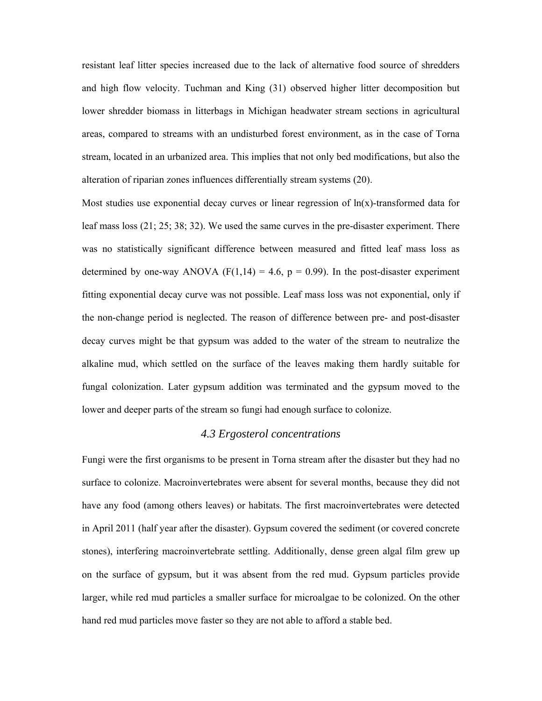resistant leaf litter species increased due to the lack of alternative food source of shredders and high flow velocity. Tuchman and King (31) observed higher litter decomposition but lower shredder biomass in litterbags in Michigan headwater stream sections in agricultural areas, compared to streams with an undisturbed forest environment, as in the case of Torna stream, located in an urbanized area. This implies that not only bed modifications, but also the alteration of riparian zones influences differentially stream systems (20).

Most studies use exponential decay curves or linear regression of  $ln(x)$ -transformed data for leaf mass loss (21; 25; 38; 32). We used the same curves in the pre-disaster experiment. There was no statistically significant difference between measured and fitted leaf mass loss as determined by one-way ANOVA ( $F(1,14) = 4.6$ ,  $p = 0.99$ ). In the post-disaster experiment fitting exponential decay curve was not possible. Leaf mass loss was not exponential, only if the non-change period is neglected. The reason of difference between pre- and post-disaster decay curves might be that gypsum was added to the water of the stream to neutralize the alkaline mud, which settled on the surface of the leaves making them hardly suitable for fungal colonization. Later gypsum addition was terminated and the gypsum moved to the lower and deeper parts of the stream so fungi had enough surface to colonize.

## *4.3 Ergosterol concentrations*

Fungi were the first organisms to be present in Torna stream after the disaster but they had no surface to colonize. Macroinvertebrates were absent for several months, because they did not have any food (among others leaves) or habitats. The first macroinvertebrates were detected in April 2011 (half year after the disaster). Gypsum covered the sediment (or covered concrete stones), interfering macroinvertebrate settling. Additionally, dense green algal film grew up on the surface of gypsum, but it was absent from the red mud. Gypsum particles provide larger, while red mud particles a smaller surface for microalgae to be colonized. On the other hand red mud particles move faster so they are not able to afford a stable bed.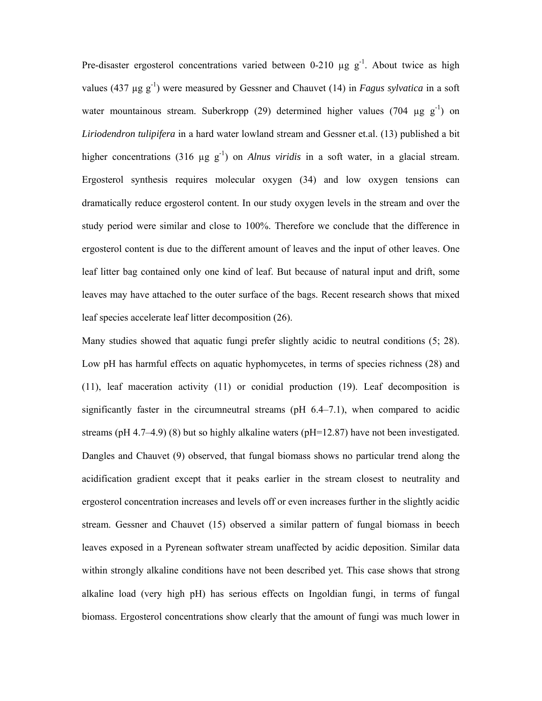Pre-disaster ergosterol concentrations varied between 0-210  $\mu$ g g<sup>-1</sup>. About twice as high values (437  $\mu$ g g<sup>-1</sup>) were measured by Gessner and Chauvet (14) in *Fagus sylvatica* in a soft water mountainous stream. Suberkropp (29) determined higher values (704  $\mu$ g g<sup>-1</sup>) on *Liriodendron tulipifera* in a hard water lowland stream and Gessner et.al. (13) published a bit higher concentrations (316  $\mu$ g g<sup>-1</sup>) on *Alnus viridis* in a soft water, in a glacial stream. Ergosterol synthesis requires molecular oxygen (34) and low oxygen tensions can dramatically reduce ergosterol content. In our study oxygen levels in the stream and over the study period were similar and close to 100%. Therefore we conclude that the difference in ergosterol content is due to the different amount of leaves and the input of other leaves. One leaf litter bag contained only one kind of leaf. But because of natural input and drift, some leaves may have attached to the outer surface of the bags. Recent research shows that mixed leaf species accelerate leaf litter decomposition (26).

Many studies showed that aquatic fungi prefer slightly acidic to neutral conditions (5; 28). Low pH has harmful effects on aquatic hyphomycetes, in terms of species richness (28) and (11), leaf maceration activity (11) or conidial production (19). Leaf decomposition is significantly faster in the circumneutral streams ( $pH$  6.4–7.1), when compared to acidic streams (pH 4.7–4.9) (8) but so highly alkaline waters (pH=12.87) have not been investigated. Dangles and Chauvet (9) observed, that fungal biomass shows no particular trend along the acidification gradient except that it peaks earlier in the stream closest to neutrality and ergosterol concentration increases and levels off or even increases further in the slightly acidic stream. Gessner and Chauvet (15) observed a similar pattern of fungal biomass in beech leaves exposed in a Pyrenean softwater stream unaffected by acidic deposition. Similar data within strongly alkaline conditions have not been described yet. This case shows that strong alkaline load (very high pH) has serious effects on Ingoldian fungi, in terms of fungal biomass. Ergosterol concentrations show clearly that the amount of fungi was much lower in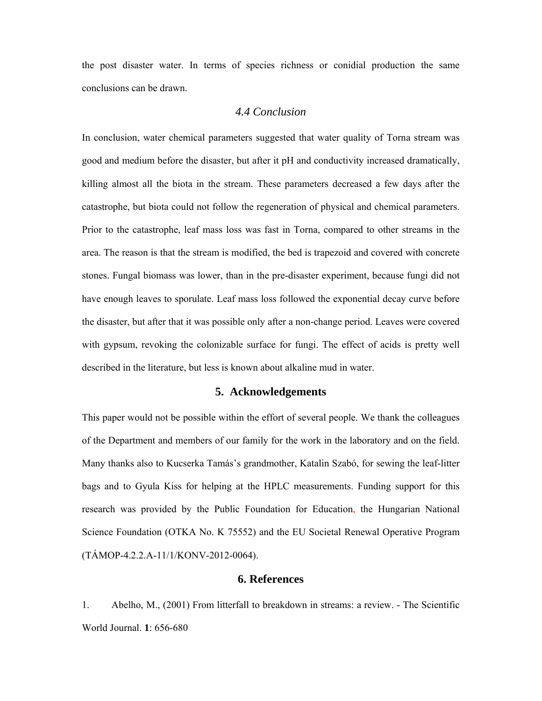the post disaster water. In terms of species richness or conidial production the same conclusions can be drawn.

## *4.4 Conclusion*

In conclusion, water chemical parameters suggested that water quality of Torna stream was good and medium before the disaster, but after it pH and conductivity increased dramatically, killing almost all the biota in the stream. These parameters decreased a few days after the catastrophe, but biota could not follow the regeneration of physical and chemical parameters. Prior to the catastrophe, leaf mass loss was fast in Torna, compared to other streams in the area. The reason is that the stream is modified, the bed is trapezoid and covered with concrete stones. Fungal biomass was lower, than in the pre-disaster experiment, because fungi did not have enough leaves to sporulate. Leaf mass loss followed the exponential decay curve before the disaster, but after that it was possible only after a non-change period. Leaves were covered with gypsum, revoking the colonizable surface for fungi. The effect of acids is pretty well described in the literature, but less is known about alkaline mud in water.

#### **5. Acknowledgements**

This paper would not be possible within the effort of several people. We thank the colleagues of the Department and members of our family for the work in the laboratory and on the field. Many thanks also to Kucserka Tamás's grandmother, Katalin Szabó, for sewing the leaf-litter bags and to Gyula Kiss for helping at the HPLC measurements. Funding support for this research was provided by the Public Foundation for Education, the Hungarian National Science Foundation (OTKA No. K 75552) and the EU Societal Renewal Operative Program (TÁMOP-4.2.2.A-11/1/KONV-2012-0064).

## **6. References**

1. Abelho, M., (2001) From litterfall to breakdown in streams: a review. - The Scientific World Journal. **1**: 656-680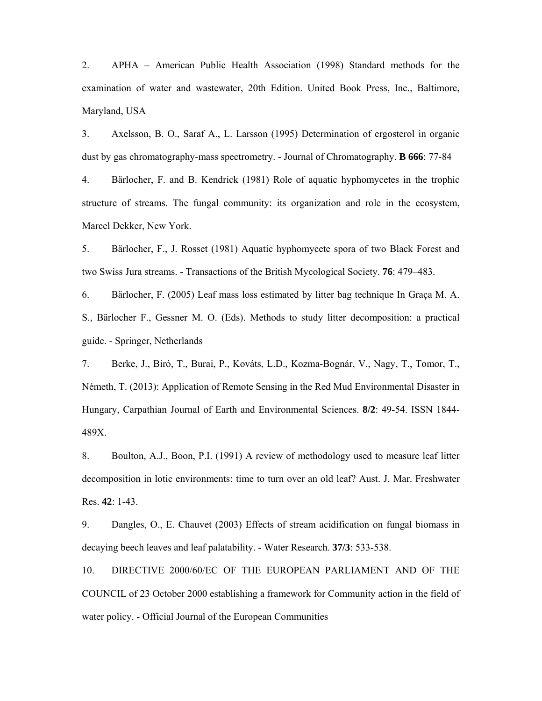2. APHA – American Public Health Association (1998) Standard methods for the examination of water and wastewater, 20th Edition. United Book Press, Inc., Baltimore, Maryland, USA

3. Axelsson, B. O., Saraf A., L. Larsson (1995) Determination of ergosterol in organic dust by gas chromatography-mass spectrometry. - Journal of Chromatography. **B 666**: 77-84

4. Bärlocher, F. and B. Kendrick (1981) Role of aquatic hyphomycetes in the trophic structure of streams. The fungal community: its organization and role in the ecosystem, Marcel Dekker, New York.

5. Bärlocher, F., J. Rosset (1981) Aquatic hyphomycete spora of two Black Forest and two Swiss Jura streams. - Transactions of the British Mycological Society. **76**: 479–483.

6. Bärlocher, F. (2005) Leaf mass loss estimated by litter bag technique In Graça M. A. S., Bärlocher F., Gessner M. O. (Eds). Methods to study litter decomposition: a practical guide. - Springer, Netherlands

7. Berke, J., Bíró, T., Burai, P., Kováts, L.D., Kozma-Bognár, V., Nagy, T., Tomor, T., Németh, T. (2013): Application of Remote Sensing in the Red Mud Environmental Disaster in Hungary, Carpathian Journal of Earth and Environmental Sciences. **8/2**: 49-54. ISSN 1844- 489X.

8. Boulton, A.J., Boon, P.I. (1991) A review of methodology used to measure leaf litter decomposition in lotic environments: time to turn over an old leaf? Aust. J. Mar. Freshwater Res. **42**: 1-43.

9. Dangles, O., E. Chauvet (2003) Effects of stream acidification on fungal biomass in decaying beech leaves and leaf palatability. - Water Research. **37/3**: 533-538.

10. DIRECTIVE 2000/60/EC OF THE EUROPEAN PARLIAMENT AND OF THE COUNCIL of 23 October 2000 establishing a framework for Community action in the field of water policy. - Official Journal of the European Communities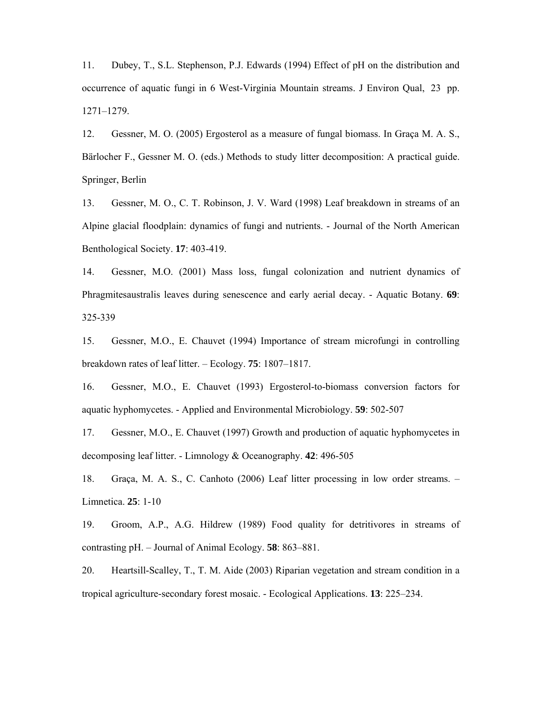11. Dubey, T., S.L. Stephenson, P.J. Edwards (1994) Effect of pH on the distribution and occurrence of aquatic fungi in 6 West-Virginia Mountain streams. J Environ Qual, 23 pp. 1271–1279.

12. Gessner, M. O. (2005) Ergosterol as a measure of fungal biomass. In Graça M. A. S., Bärlocher F., Gessner M. O. (eds.) Methods to study litter decomposition: A practical guide. Springer, Berlin

13. Gessner, M. O., C. T. Robinson, J. V. Ward (1998) Leaf breakdown in streams of an Alpine glacial floodplain: dynamics of fungi and nutrients. - Journal of the North American Benthological Society. **17**: 403-419.

14. Gessner, M.O. (2001) Mass loss, fungal colonization and nutrient dynamics of Phragmitesaustralis leaves during senescence and early aerial decay. - Aquatic Botany. **69**: 325-339

15. Gessner, M.O., E. Chauvet (1994) Importance of stream microfungi in controlling breakdown rates of leaf litter. – Ecology. **75**: 1807–1817.

16. Gessner, M.O., E. Chauvet (1993) Ergosterol-to-biomass conversion factors for aquatic hyphomycetes. - Applied and Environmental Microbiology. **59**: 502-507

17. Gessner, M.O., E. Chauvet (1997) Growth and production of aquatic hyphomycetes in decomposing leaf litter. - Limnology & Oceanography. **42**: 496-505

18. Graça, M. A. S., C. Canhoto (2006) Leaf litter processing in low order streams. – Limnetica. **25**: 1-10

19. Groom, A.P., A.G. Hildrew (1989) Food quality for detritivores in streams of contrasting pH. – Journal of Animal Ecology. **58**: 863–881.

20. Heartsill-Scalley, T., T. M. Aide (2003) Riparian vegetation and stream condition in a tropical agriculture-secondary forest mosaic. - Ecological Applications. **13**: 225–234.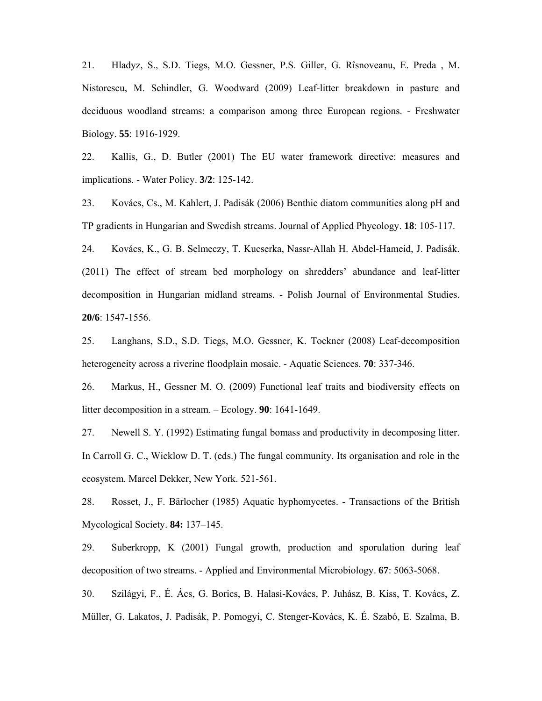21. Hladyz, S., S.D. Tiegs, M.O. Gessner, P.S. Giller, G. Rîsnoveanu, E. Preda , M. Nistorescu, M. Schindler, G. Woodward (2009) Leaf-litter breakdown in pasture and deciduous woodland streams: a comparison among three European regions. - Freshwater Biology. **55**: 1916-1929.

22. Kallis, G., D. Butler (2001) The EU water framework directive: measures and implications. - Water Policy. **3/2**: 125-142.

23. Kovács, Cs., M. Kahlert, J. Padisák (2006) Benthic diatom communities along pH and TP gradients in Hungarian and Swedish streams. Journal of Applied Phycology. **18**: 105-117.

24. Kovács, K., G. B. Selmeczy, T. Kucserka, Nassr-Allah H. Abdel-Hameid, J. Padisák. (2011) The effect of stream bed morphology on shredders' abundance and leaf-litter decomposition in Hungarian midland streams. - Polish Journal of Environmental Studies. **20/6**: 1547-1556.

25. Langhans, S.D., S.D. Tiegs, M.O. Gessner, K. Tockner (2008) Leaf-decomposition heterogeneity across a riverine floodplain mosaic. - Aquatic Sciences. **70**: 337-346.

26. Markus, H., Gessner M. O. (2009) Functional leaf traits and biodiversity effects on litter decomposition in a stream. – Ecology. **90**: 1641-1649.

27. Newell S. Y. (1992) Estimating fungal bomass and productivity in decomposing litter. In Carroll G. C., Wicklow D. T. (eds.) The fungal community. Its organisation and role in the ecosystem. Marcel Dekker, New York. 521-561.

28. Rosset, J., F. Bärlocher (1985) Aquatic hyphomycetes. - Transactions of the British Mycological Society. **84:** 137–145.

29. Suberkropp, K (2001) Fungal growth, production and sporulation during leaf decoposition of two streams. - Applied and Environmental Microbiology. **67**: 5063-5068.

30. Szilágyi, F., É. Ács, G. Borics, B. Halasi-Kovács, P. Juhász, B. Kiss, T. Kovács, Z. Müller, G. Lakatos, J. Padisák, P. Pomogyi, C. Stenger-Kovács, K. É. Szabó, E. Szalma, B.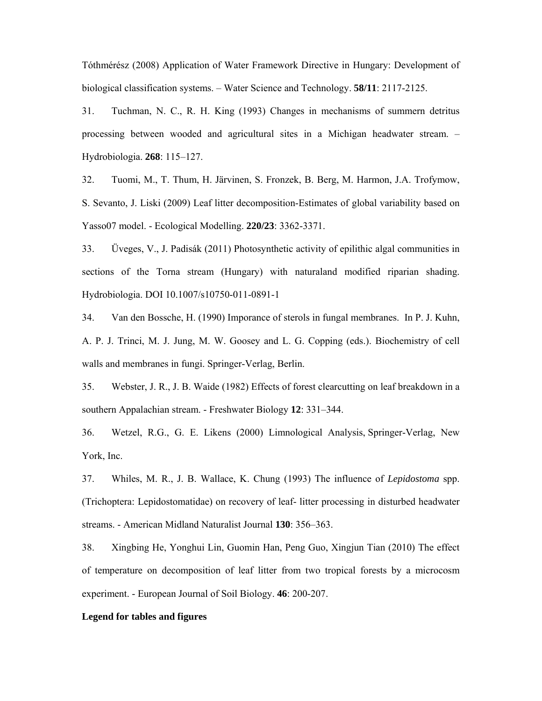Tóthmérész (2008) Application of Water Framework Directive in Hungary: Development of biological classification systems. – Water Science and Technology. **58/11**: 2117-2125.

31. Tuchman, N. C., R. H. King (1993) Changes in mechanisms of summern detritus processing between wooded and agricultural sites in a Michigan headwater stream. – Hydrobiologia. **268**: 115–127.

32. Tuomi, M., T. Thum, H. Järvinen, S. Fronzek, B. Berg, M. Harmon, J.A. Trofymow, S. Sevanto, J. Liski (2009) Leaf litter decomposition-Estimates of global variability based on Yasso07 model. - Ecological Modelling. **220/23**: 3362-3371.

33. Üveges, V., J. Padisák (2011) Photosynthetic activity of epilithic algal communities in sections of the Torna stream (Hungary) with naturaland modified riparian shading. Hydrobiologia. DOI 10.1007/s10750-011-0891-1

34. Van den Bossche, H. (1990) Imporance of sterols in fungal membranes. In P. J. Kuhn, A. P. J. Trinci, M. J. Jung, M. W. Goosey and L. G. Copping (eds.). Biochemistry of cell walls and membranes in fungi. Springer-Verlag, Berlin.

35. Webster, J. R., J. B. Waide (1982) Effects of forest clearcutting on leaf breakdown in a southern Appalachian stream. - Freshwater Biology **12**: 331–344.

36. Wetzel, R.G., G. E. Likens (2000) Limnological Analysis, Springer-Verlag, New York, Inc.

37. Whiles, M. R., J. B. Wallace, K. Chung (1993) The influence of *Lepidostoma* spp. (Trichoptera: Lepidostomatidae) on recovery of leaf- litter processing in disturbed headwater streams. - American Midland Naturalist Journal **130**: 356–363.

38. Xingbing He, Yonghui Lin, Guomin Han, Peng Guo, Xingjun Tian (2010) The effect of temperature on decomposition of leaf litter from two tropical forests by a microcosm experiment. - European Journal of Soil Biology. **46**: 200-207.

#### **Legend for tables and figures**